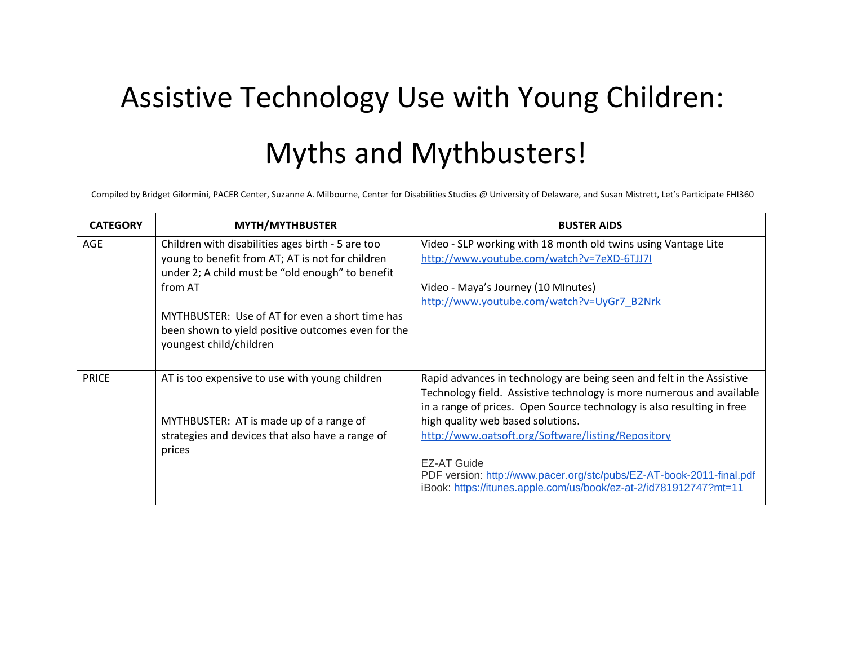## Assistive Technology Use with Young Children: Myths and Mythbusters!

Compiled by Bridget Gilormini, PACER Center, Suzanne A. Milbourne, Center for Disabilities Studies @ University of Delaware, and Susan Mistrett, Let's Participate FHI360

| <b>CATEGORY</b> | <b>MYTH/MYTHBUSTER</b>                                                                                                                                    | <b>BUSTER AIDS</b>                                                                                                                                                                                                       |
|-----------------|-----------------------------------------------------------------------------------------------------------------------------------------------------------|--------------------------------------------------------------------------------------------------------------------------------------------------------------------------------------------------------------------------|
| AGE             | Children with disabilities ages birth - 5 are too<br>young to benefit from AT; AT is not for children<br>under 2; A child must be "old enough" to benefit | Video - SLP working with 18 month old twins using Vantage Lite<br>http://www.youtube.com/watch?v=7eXD-6TJJ7I                                                                                                             |
|                 | from AT                                                                                                                                                   | Video - Maya's Journey (10 MInutes)                                                                                                                                                                                      |
|                 | MYTHBUSTER: Use of AT for even a short time has<br>been shown to yield positive outcomes even for the<br>youngest child/children                          | http://www.youtube.com/watch?v=UyGr7_B2Nrk                                                                                                                                                                               |
| <b>PRICE</b>    | AT is too expensive to use with young children                                                                                                            | Rapid advances in technology are being seen and felt in the Assistive<br>Technology field. Assistive technology is more numerous and available<br>in a range of prices. Open Source technology is also resulting in free |
|                 | MYTHBUSTER: AT is made up of a range of                                                                                                                   | high quality web based solutions.                                                                                                                                                                                        |
|                 | strategies and devices that also have a range of<br>prices                                                                                                | http://www.oatsoft.org/Software/listing/Repository                                                                                                                                                                       |
|                 |                                                                                                                                                           | <b>EZ-AT Guide</b><br>PDF version: http://www.pacer.org/stc/pubs/EZ-AT-book-2011-final.pdf<br>iBook: https://itunes.apple.com/us/book/ez-at-2/id781912747?mt=11                                                          |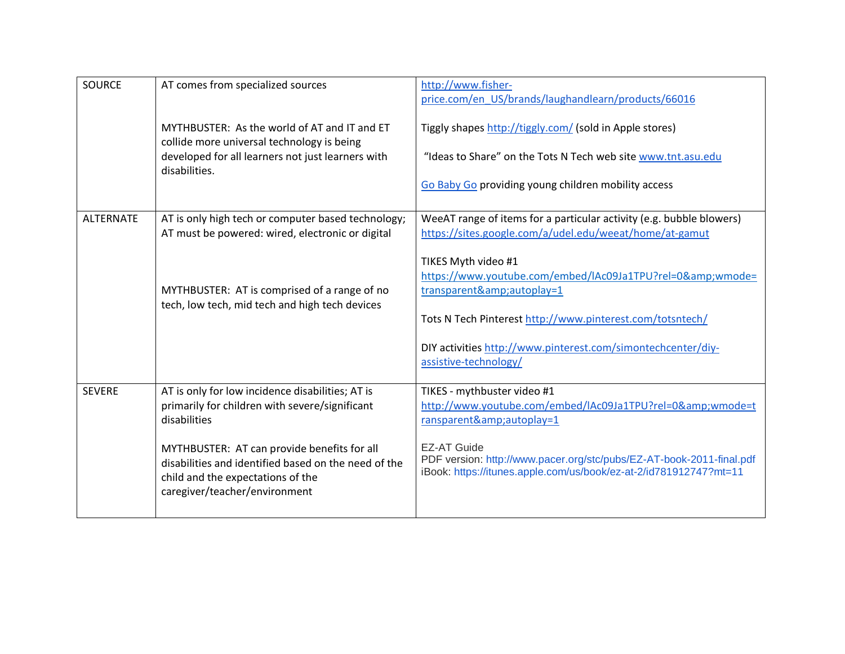| <b>SOURCE</b>    | AT comes from specialized sources                                                                                                                                         | http://www.fisher-<br>price.com/en US/brands/laughandlearn/products/66016                                                                                       |
|------------------|---------------------------------------------------------------------------------------------------------------------------------------------------------------------------|-----------------------------------------------------------------------------------------------------------------------------------------------------------------|
|                  | MYTHBUSTER: As the world of AT and IT and ET<br>collide more universal technology is being                                                                                | Tiggly shapes http://tiggly.com/ (sold in Apple stores)                                                                                                         |
|                  | developed for all learners not just learners with<br>disabilities.                                                                                                        | "Ideas to Share" on the Tots N Tech web site www.tnt.asu.edu                                                                                                    |
|                  |                                                                                                                                                                           | Go Baby Go providing young children mobility access                                                                                                             |
| <b>ALTERNATE</b> | AT is only high tech or computer based technology;<br>AT must be powered: wired, electronic or digital                                                                    | WeeAT range of items for a particular activity (e.g. bubble blowers)<br>https://sites.google.com/a/udel.edu/weeat/home/at-gamut                                 |
|                  |                                                                                                                                                                           | TIKES Myth video #1<br>https://www.youtube.com/embed/lAc09Ja1TPU?rel=0&wmode=                                                                                   |
|                  | MYTHBUSTER: AT is comprised of a range of no<br>tech, low tech, mid tech and high tech devices                                                                            | transparent&autoplay=1                                                                                                                                          |
|                  |                                                                                                                                                                           | Tots N Tech Pinterest http://www.pinterest.com/totsntech/                                                                                                       |
|                  |                                                                                                                                                                           | DIY activities http://www.pinterest.com/simontechcenter/diy-<br>assistive-technology/                                                                           |
| <b>SEVERE</b>    | AT is only for low incidence disabilities; AT is<br>primarily for children with severe/significant<br>disabilities                                                        | TIKES - mythbuster video #1<br>http://www.youtube.com/embed/lAc09Ja1TPU?rel=0&wmode=t<br>ransparent&autoplay=1                                                  |
|                  | MYTHBUSTER: AT can provide benefits for all<br>disabilities and identified based on the need of the<br>child and the expectations of the<br>caregiver/teacher/environment | <b>EZ-AT Guide</b><br>PDF version: http://www.pacer.org/stc/pubs/EZ-AT-book-2011-final.pdf<br>iBook: https://itunes.apple.com/us/book/ez-at-2/id781912747?mt=11 |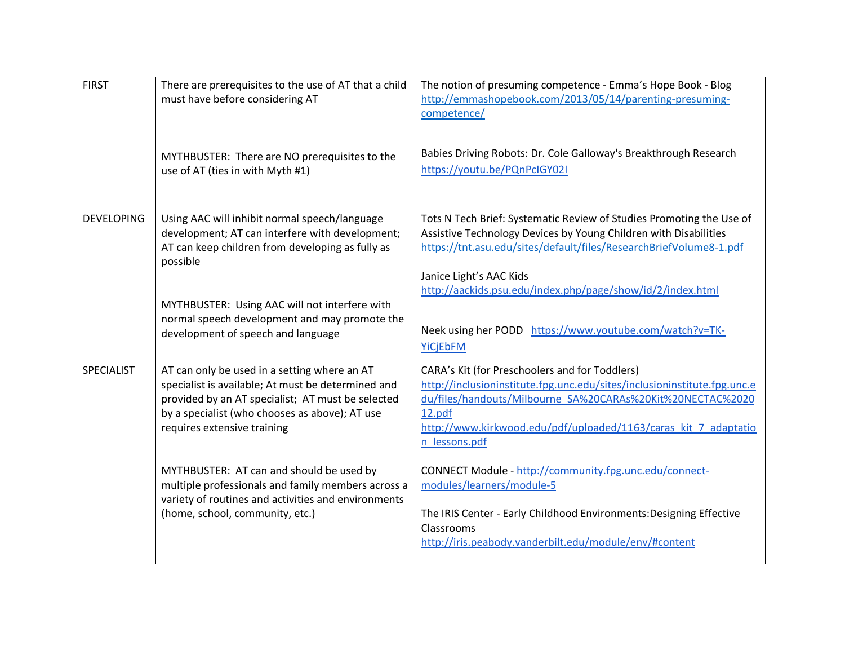| <b>FIRST</b>      | There are prerequisites to the use of AT that a child<br>must have before considering AT                                                                                                                                                 | The notion of presuming competence - Emma's Hope Book - Blog<br>http://emmashopebook.com/2013/05/14/parenting-presuming-<br>competence/                                                                                                                                                |
|-------------------|------------------------------------------------------------------------------------------------------------------------------------------------------------------------------------------------------------------------------------------|----------------------------------------------------------------------------------------------------------------------------------------------------------------------------------------------------------------------------------------------------------------------------------------|
|                   | MYTHBUSTER: There are NO prerequisites to the<br>use of AT (ties in with Myth #1)                                                                                                                                                        | Babies Driving Robots: Dr. Cole Galloway's Breakthrough Research<br>https://youtu.be/PQnPcIGY02I                                                                                                                                                                                       |
| <b>DEVELOPING</b> | Using AAC will inhibit normal speech/language<br>development; AT can interfere with development;<br>AT can keep children from developing as fully as<br>possible                                                                         | Tots N Tech Brief: Systematic Review of Studies Promoting the Use of<br>Assistive Technology Devices by Young Children with Disabilities<br>https://tnt.asu.edu/sites/default/files/ResearchBriefVolume8-1.pdf<br>Janice Light's AAC Kids                                              |
|                   | MYTHBUSTER: Using AAC will not interfere with<br>normal speech development and may promote the<br>development of speech and language                                                                                                     | http://aackids.psu.edu/index.php/page/show/id/2/index.html<br>Neek using her PODD https://www.youtube.com/watch?v=TK-<br><b>YiCjEbFM</b>                                                                                                                                               |
| <b>SPECIALIST</b> | AT can only be used in a setting where an AT<br>specialist is available; At must be determined and<br>provided by an AT specialist; AT must be selected<br>by a specialist (who chooses as above); AT use<br>requires extensive training | CARA's Kit (for Preschoolers and for Toddlers)<br>http://inclusioninstitute.fpg.unc.edu/sites/inclusioninstitute.fpg.unc.e<br>du/files/handouts/Milbourne SA%20CARAs%20Kit%20NECTAC%2020<br>12.pdf<br>http://www.kirkwood.edu/pdf/uploaded/1163/caras kit 7 adaptatio<br>n lessons.pdf |
|                   | MYTHBUSTER: AT can and should be used by<br>multiple professionals and family members across a<br>variety of routines and activities and environments<br>(home, school, community, etc.)                                                 | CONNECT Module - http://community.fpg.unc.edu/connect-<br>modules/learners/module-5<br>The IRIS Center - Early Childhood Environments: Designing Effective<br>Classrooms<br>http://iris.peabody.vanderbilt.edu/module/env/#content                                                     |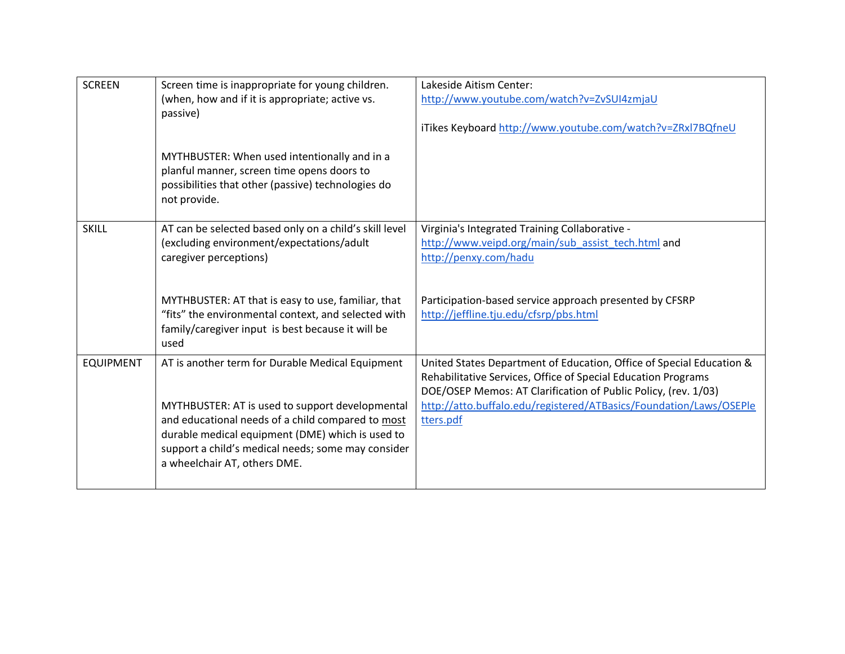| <b>SCREEN</b>    | Screen time is inappropriate for young children.                                                                                                                 | Lakeside Aitism Center:                                                         |
|------------------|------------------------------------------------------------------------------------------------------------------------------------------------------------------|---------------------------------------------------------------------------------|
|                  | (when, how and if it is appropriate; active vs.                                                                                                                  | http://www.youtube.com/watch?v=ZvSUI4zmjaU                                      |
|                  | passive)                                                                                                                                                         |                                                                                 |
|                  |                                                                                                                                                                  | iTikes Keyboard http://www.youtube.com/watch?v=ZRxl7BQfneU                      |
|                  | MYTHBUSTER: When used intentionally and in a<br>planful manner, screen time opens doors to<br>possibilities that other (passive) technologies do<br>not provide. |                                                                                 |
| <b>SKILL</b>     | AT can be selected based only on a child's skill level                                                                                                           | Virginia's Integrated Training Collaborative -                                  |
|                  | (excluding environment/expectations/adult                                                                                                                        | http://www.veipd.org/main/sub assist tech.html and                              |
|                  | caregiver perceptions)                                                                                                                                           | http://penxy.com/hadu                                                           |
|                  |                                                                                                                                                                  |                                                                                 |
|                  | MYTHBUSTER: AT that is easy to use, familiar, that                                                                                                               | Participation-based service approach presented by CFSRP                         |
|                  | "fits" the environmental context, and selected with                                                                                                              | http://jeffline.tju.edu/cfsrp/pbs.html                                          |
|                  | family/caregiver input is best because it will be                                                                                                                |                                                                                 |
|                  | used                                                                                                                                                             |                                                                                 |
| <b>EQUIPMENT</b> | AT is another term for Durable Medical Equipment                                                                                                                 | United States Department of Education, Office of Special Education &            |
|                  |                                                                                                                                                                  | Rehabilitative Services, Office of Special Education Programs                   |
|                  |                                                                                                                                                                  | DOE/OSEP Memos: AT Clarification of Public Policy, (rev. 1/03)                  |
|                  | MYTHBUSTER: AT is used to support developmental<br>and educational needs of a child compared to most                                                             | http://atto.buffalo.edu/registered/ATBasics/Foundation/Laws/OSEPle<br>tters.pdf |
|                  | durable medical equipment (DME) which is used to                                                                                                                 |                                                                                 |
|                  | support a child's medical needs; some may consider                                                                                                               |                                                                                 |
|                  | a wheelchair AT, others DME.                                                                                                                                     |                                                                                 |
|                  |                                                                                                                                                                  |                                                                                 |